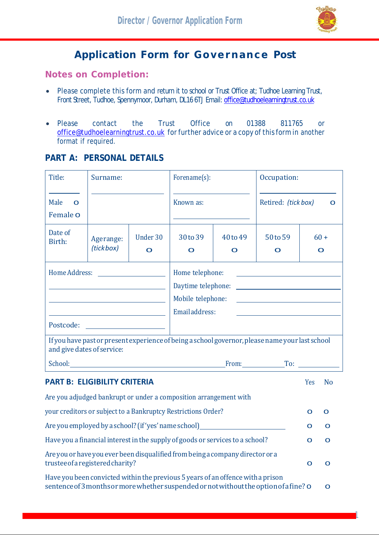

1

## **Application Form for Governance Post**

**Notes on Completion:**

- Please complete this form and return it to school or Trust Office at; Tudhoe Learning Trust, Front Street, Tudhoe, Spennymoor, Durham, DL16 6TJ Email[: office@tudhoelearningtrust.co.uk](mailto:office@tudhoelearningtrust.co.uk)
- Please contact the Trust Office on 01388 811765 or [office@tudhoelearningtrust.co.uk](mailto:office@tudhoelearningtrust.co.uk) for further advice or a copy of this form in another format if required.

## **PART A: PERSONAL DETAILS**

| Title:                                                                           | Surname:                                                                                                                                                                                                                                                     |                                                    | Forename(s):                                                                    |                         | Occupation:                                                                                                                                                                |              |                       |
|----------------------------------------------------------------------------------|--------------------------------------------------------------------------------------------------------------------------------------------------------------------------------------------------------------------------------------------------------------|----------------------------------------------------|---------------------------------------------------------------------------------|-------------------------|----------------------------------------------------------------------------------------------------------------------------------------------------------------------------|--------------|-----------------------|
| Male<br>$\Omega$<br>Female o                                                     |                                                                                                                                                                                                                                                              |                                                    | Known as:                                                                       |                         | Retired: (tick box)                                                                                                                                                        |              | $\mathbf O$           |
| Date of<br>Birth:                                                                | Agerange:<br>(tickbox)                                                                                                                                                                                                                                       | Under 30<br>$\overline{\mathbf{O}}$                | 30 to 39<br>$\mathbf O$                                                         | 40 to 49<br>$\mathbf O$ | 50 to 59<br>$\mathbf O$                                                                                                                                                    |              | $60 +$<br>$\mathbf O$ |
| Home Address:                                                                    | <u> 1989 - Johann Barn, mars an t-Amerikaansk politiker (</u><br><u> 1989 - Johann Barbara, martxa amerikan personal (h. 1989).</u><br><u> 1989 - Johann Barn, mars ann an t-Amhain Aonaich an t-Aonaich an t-Aonaich an t-Aonaich an t-Aonaich an t-Aon</u> | <u> 1989 - Johann Stoff, fransk politik (d. 19</u> | Home telephone:<br>Daytime telephone:<br>Mobile telephone:<br>Email address:    |                         | <u> 1989 - Johann Stoff, fransk politik (d. 19</u><br><u> 1980 - Johann Barn, mars ann an t-Amhain Aonaich an t-Aonaich an t-Aonaich ann an t-Aonaich ann an t-Aonaich</u> |              |                       |
|                                                                                  | and give dates of service:                                                                                                                                                                                                                                   |                                                    |                                                                                 |                         | If you have past or present experience of being a school governor, please name your last school                                                                            |              |                       |
|                                                                                  |                                                                                                                                                                                                                                                              |                                                    |                                                                                 |                         |                                                                                                                                                                            |              |                       |
|                                                                                  | <b>PART B: ELIGIBILITY CRITERIA</b>                                                                                                                                                                                                                          |                                                    |                                                                                 |                         |                                                                                                                                                                            | Yes          | <b>No</b>             |
|                                                                                  |                                                                                                                                                                                                                                                              |                                                    | Are you adjudged bankrupt or under a composition arrangement with               |                         |                                                                                                                                                                            |              |                       |
| your creditors or subject to a Bankruptcy Restrictions Order?                    |                                                                                                                                                                                                                                                              |                                                    |                                                                                 |                         |                                                                                                                                                                            | O            | $\mathbf O$           |
| Are you employed by a school? (if 'yes' name school)____________________________ |                                                                                                                                                                                                                                                              |                                                    |                                                                                 |                         |                                                                                                                                                                            | $\mathbf O$  | $\mathbf O$           |
| Have you a financial interest in the supply of goods or services to a school?    |                                                                                                                                                                                                                                                              |                                                    |                                                                                 |                         |                                                                                                                                                                            | $\mathbf{O}$ | O                     |
|                                                                                  | trustee of a registered charity?                                                                                                                                                                                                                             |                                                    | Are you or have you ever been disqualified from being a company director or a   |                         |                                                                                                                                                                            | O            | O                     |
|                                                                                  |                                                                                                                                                                                                                                                              |                                                    | Have you been convicted within the previous 5 years of an offence with a prison |                         | sentence of 3 months or more whether suspended or not without the option of a fine? o                                                                                      |              | O                     |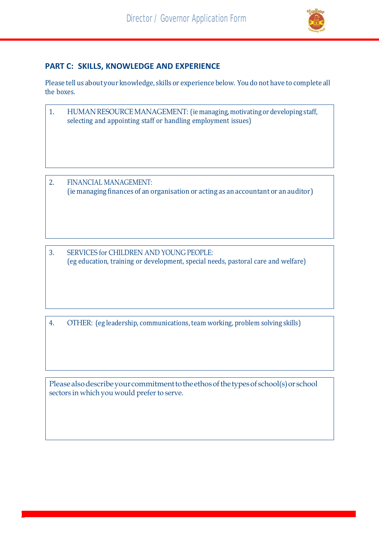

## **PART C: SKILLS, KNOWLEDGE AND EXPERIENCE**

Please tell us about your knowledge, skills or experience below. You do not have to complete all the boxes.

- 1. HUMAN RESOURCE MANAGEMENT: (ie managing, motivating or developing staff, selecting and appointing staff or handling employment issues)
- 2. FINANCIAL MANAGEMENT: (ie managing finances of an organisation or acting as an accountant or an auditor)
- 3. SERVICES for CHILDREN AND YOUNG PEOPLE: (eg education, training or development, special needs, pastoral care and welfare)

4. OTHER: (eg leadership, communications, team working, problem solving skills)

Please also describe your commitment to the ethos of the types of school(s) or school sectors in which you would prefer to serve.

<u>ا</u>